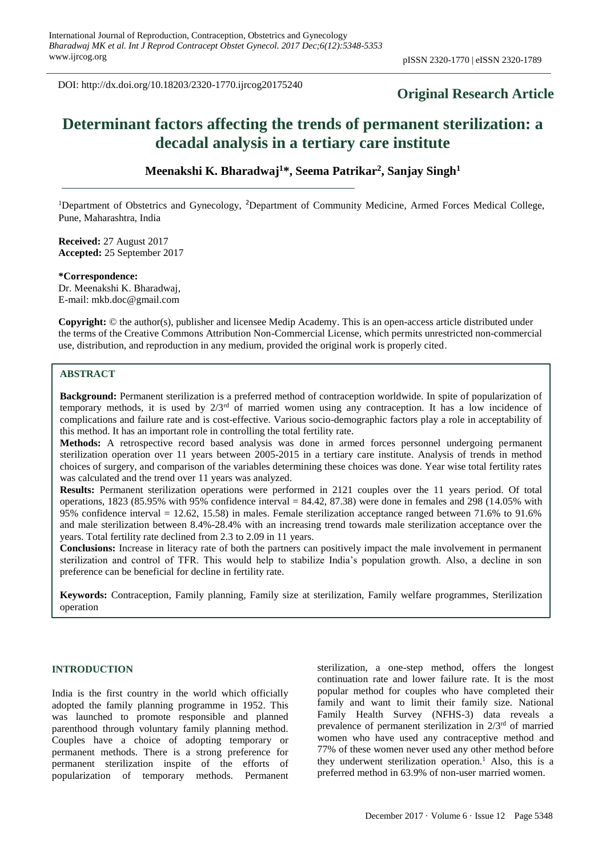DOI: http://dx.doi.org/10.18203/2320-1770.ijrcog20175240

# **Original Research Article**

# **Determinant factors affecting the trends of permanent sterilization: a decadal analysis in a tertiary care institute**

**Meenakshi K. Bharadwaj<sup>1</sup>\*, Seema Patrikar<sup>2</sup> , Sanjay Singh<sup>1</sup>**

<sup>1</sup>Department of Obstetrics and Gynecology, <sup>2</sup>Department of Community Medicine, Armed Forces Medical College, Pune, Maharashtra, India

**Received:** 27 August 2017 **Accepted:** 25 September 2017

**\*Correspondence:** Dr. Meenakshi K. Bharadwaj, E-mail: mkb.doc@gmail.com

**Copyright:** © the author(s), publisher and licensee Medip Academy. This is an open-access article distributed under the terms of the Creative Commons Attribution Non-Commercial License, which permits unrestricted non-commercial use, distribution, and reproduction in any medium, provided the original work is properly cited.

# **ABSTRACT**

**Background:** Permanent sterilization is a preferred method of contraception worldwide. In spite of popularization of temporary methods, it is used by  $2/3^{rd}$  of married women using any contraception. It has a low incidence of complications and failure rate and is cost-effective. Various socio-demographic factors play a role in acceptability of this method. It has an important role in controlling the total fertility rate.

**Methods:** A retrospective record based analysis was done in armed forces personnel undergoing permanent sterilization operation over 11 years between 2005-2015 in a tertiary care institute. Analysis of trends in method choices of surgery, and comparison of the variables determining these choices was done. Year wise total fertility rates was calculated and the trend over 11 years was analyzed.

**Results:** Permanent sterilization operations were performed in 2121 couples over the 11 years period. Of total operations, 1823 (85.95% with 95% confidence interval = 84.42, 87.38) were done in females and 298 (14.05% with 95% confidence interval = 12.62, 15.58) in males. Female sterilization acceptance ranged between 71.6% to 91.6% and male sterilization between 8.4%-28.4% with an increasing trend towards male sterilization acceptance over the years. Total fertility rate declined from 2.3 to 2.09 in 11 years.

**Conclusions:** Increase in literacy rate of both the partners can positively impact the male involvement in permanent sterilization and control of TFR. This would help to stabilize India's population growth. Also, a decline in son preference can be beneficial for decline in fertility rate.

**Keywords:** Contraception, Family planning, Family size at sterilization, Family welfare programmes, Sterilization operation

# **INTRODUCTION**

India is the first country in the world which officially adopted the family planning programme in 1952. This was launched to promote responsible and planned parenthood through voluntary family planning method. Couples have a choice of adopting temporary or permanent methods. There is a strong preference for permanent sterilization inspite of the efforts of popularization of temporary methods. Permanent sterilization, a one-step method, offers the longest continuation rate and lower failure rate. It is the most popular method for couples who have completed their family and want to limit their family size. National Family Health Survey (NFHS-3) data reveals a prevalence of permanent sterilization in  $2/3<sup>rd</sup>$  of married women who have used any contraceptive method and 77% of these women never used any other method before they underwent sterilization operation.<sup>1</sup> Also, this is a preferred method in 63.9% of non-user married women.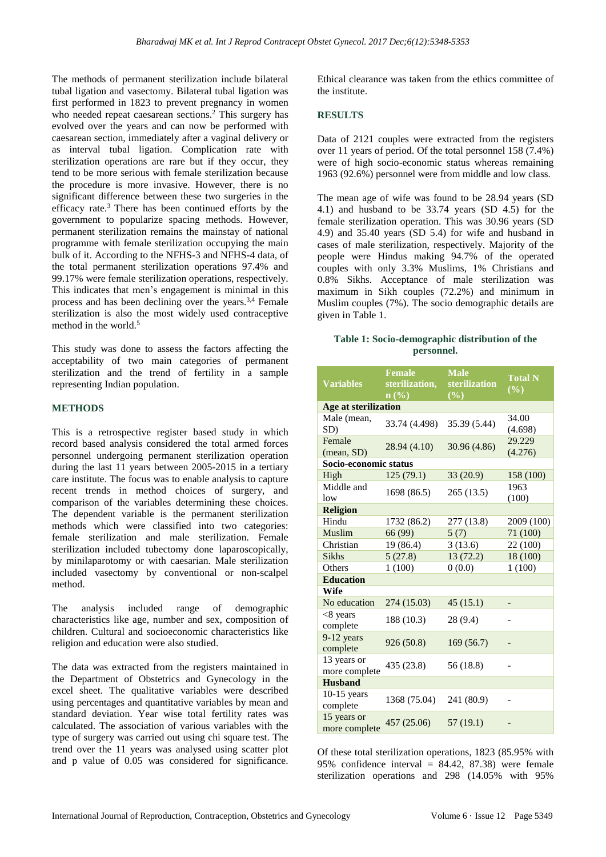The methods of permanent sterilization include bilateral tubal ligation and vasectomy. Bilateral tubal ligation was first performed in 1823 to prevent pregnancy in women who needed repeat caesarean sections.<sup>2</sup> This surgery has evolved over the years and can now be performed with caesarean section, immediately after a vaginal delivery or as interval tubal ligation. Complication rate with sterilization operations are rare but if they occur, they tend to be more serious with female sterilization because the procedure is more invasive. However, there is no significant difference between these two surgeries in the efficacy rate.<sup>3</sup> There has been continued efforts by the government to popularize spacing methods. However, permanent sterilization remains the mainstay of national programme with female sterilization occupying the main bulk of it. According to the NFHS-3 and NFHS-4 data, of the total permanent sterilization operations 97.4% and 99.17% were female sterilization operations, respectively. This indicates that men's engagement is minimal in this process and has been declining over the years.<sup>3,4</sup> Female sterilization is also the most widely used contraceptive method in the world.<sup>5</sup>

This study was done to assess the factors affecting the acceptability of two main categories of permanent sterilization and the trend of fertility in a sample representing Indian population.

#### **METHODS**

This is a retrospective register based study in which record based analysis considered the total armed forces personnel undergoing permanent sterilization operation during the last 11 years between 2005-2015 in a tertiary care institute. The focus was to enable analysis to capture recent trends in method choices of surgery, and comparison of the variables determining these choices. The dependent variable is the permanent sterilization methods which were classified into two categories: female sterilization and male sterilization. Female sterilization included tubectomy done laparoscopically, by minilaparotomy or with caesarian. Male sterilization included vasectomy by conventional or non-scalpel method.

The analysis included range of demographic characteristics like age, number and sex, composition of children. Cultural and socioeconomic characteristics like religion and education were also studied.

The data was extracted from the registers maintained in the Department of Obstetrics and Gynecology in the excel sheet. The qualitative variables were described using percentages and quantitative variables by mean and standard deviation. Year wise total fertility rates was calculated. The association of various variables with the type of surgery was carried out using chi square test. The trend over the 11 years was analysed using scatter plot and p value of 0.05 was considered for significance. Ethical clearance was taken from the ethics committee of the institute.

### **RESULTS**

Data of 2121 couples were extracted from the registers over 11 years of period. Of the total personnel 158 (7.4%) were of high socio-economic status whereas remaining 1963 (92.6%) personnel were from middle and low class.

The mean age of wife was found to be 28.94 years (SD 4.1) and husband to be 33.74 years (SD 4.5) for the female sterilization operation. This was 30.96 years (SD 4.9) and 35.40 years (SD 5.4) for wife and husband in cases of male sterilization, respectively. Majority of the people were Hindus making 94.7% of the operated couples with only 3.3% Muslims, 1% Christians and 0.8% Sikhs. Acceptance of male sterilization was maximum in Sikh couples (72.2%) and minimum in Muslim couples (7%). The socio demographic details are given in Table 1.

#### **Table 1: Socio-demographic distribution of the personnel.**

| <b>Variables</b>             | <b>Female</b><br>sterilization,<br>$n\left(\frac{0}{0}\right)$ | <b>Male</b><br>sterilization<br>$(\%)$ | <b>Total N</b><br>$($ %) |  |  |  |
|------------------------------|----------------------------------------------------------------|----------------------------------------|--------------------------|--|--|--|
| Age at sterilization         |                                                                |                                        |                          |  |  |  |
| Male (mean,<br>SD)           | 33.74 (4.498)                                                  | 35.39 (5.44)                           | 34.00<br>(4.698)         |  |  |  |
| Female<br>(mean, SD)         | 28.94 (4.10)                                                   | 30.96 (4.86)                           | 29.229<br>(4.276)        |  |  |  |
| Socio-economic status        |                                                                |                                        |                          |  |  |  |
| High                         | 125(79.1)                                                      | 33 (20.9)                              | 158 (100)                |  |  |  |
| Middle and<br>low            | 1698 (86.5)                                                    | 265(13.5)                              | 1963<br>(100)            |  |  |  |
| <b>Religion</b>              |                                                                |                                        |                          |  |  |  |
| Hindu                        | 1732 (86.2)                                                    | 277 (13.8)                             | 2009 (100)               |  |  |  |
| Muslim                       | 66 (99)                                                        | 5(7)                                   | 71 (100)                 |  |  |  |
| Christian                    | 19(86.4)                                                       | 3(13.6)                                | 22 (100)                 |  |  |  |
| <b>Sikhs</b>                 | 5(27.8)                                                        | 13(72.2)                               | 18 (100)                 |  |  |  |
| Others                       | 1(100)                                                         | 0(0.0)                                 | 1(100)                   |  |  |  |
| <b>Education</b>             |                                                                |                                        |                          |  |  |  |
| Wife                         |                                                                |                                        |                          |  |  |  |
| No education                 | 274 (15.03)                                                    | 45(15.1)                               |                          |  |  |  |
| $<8$ years<br>complete       | 188 (10.3)                                                     | 28 (9.4)                               |                          |  |  |  |
| 9-12 years<br>complete       | 926 (50.8)                                                     | 169(56.7)                              |                          |  |  |  |
| 13 years or<br>more complete | 435 (23.8)                                                     | 56 (18.8)                              |                          |  |  |  |
| <b>Husband</b>               |                                                                |                                        |                          |  |  |  |
| $10-15$ years<br>complete    | 1368 (75.04)                                                   | 241 (80.9)                             |                          |  |  |  |
| 15 years or<br>more complete | 457 (25.06)                                                    | 57 (19.1)                              |                          |  |  |  |

Of these total sterilization operations, 1823 (85.95% with 95% confidence interval =  $84.42$ , 87.38) were female sterilization operations and 298 (14.05% with 95%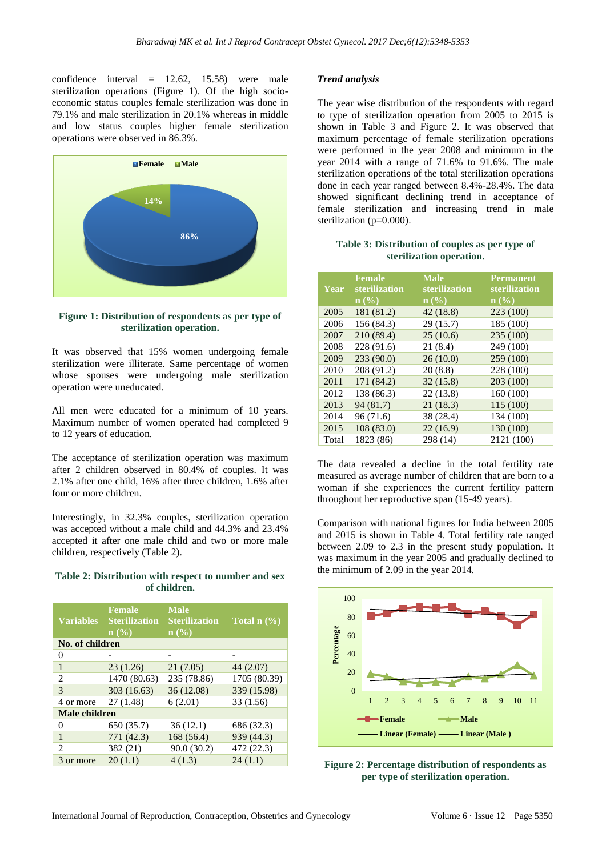confidence interval = 12.62, 15.58) were male sterilization operations (Figure 1). Of the high socioeconomic status couples female sterilization was done in 79.1% and male sterilization in 20.1% whereas in middle and low status couples higher female sterilization operations were observed in 86.3%.



**Figure 1: Distribution of respondents as per type of sterilization operation.**

It was observed that 15% women undergoing female sterilization were illiterate. Same percentage of women whose spouses were undergoing male sterilization operation were uneducated.

All men were educated for a minimum of 10 years. Maximum number of women operated had completed 9 to 12 years of education.

The acceptance of sterilization operation was maximum after 2 children observed in 80.4% of couples. It was 2.1% after one child, 16% after three children, 1.6% after four or more children.

Interestingly, in 32.3% couples, sterilization operation was accepted without a male child and 44.3% and 23.4% accepted it after one male child and two or more male children, respectively (Table 2).

#### **Table 2: Distribution with respect to number and sex of children.**

| <b>Variables</b> | <b>Female</b><br><b>Sterilization</b><br>n(%) | <b>Male</b><br><b>Sterilization</b><br>$\mathbf{n}(\%)$ | <b>Total n</b> $(\overline{\frac{0}{0}})$ |  |
|------------------|-----------------------------------------------|---------------------------------------------------------|-------------------------------------------|--|
| No. of children  |                                               |                                                         |                                           |  |
| $\theta$         |                                               |                                                         |                                           |  |
| 1                | 23(1.26)                                      | 21(7.05)                                                | 44 (2.07)                                 |  |
| 2                | 1470 (80.63)                                  | 235 (78.86)                                             | 1705 (80.39)                              |  |
| 3                | 303 (16.63)                                   | 36(12.08)                                               | 339 (15.98)                               |  |
| 4 or more        | 27(1.48)                                      | 6(2.01)                                                 | 33 (1.56)                                 |  |
| Male children    |                                               |                                                         |                                           |  |
| $\theta$         | 650 (35.7)                                    | 36(12.1)                                                | 686 (32.3)                                |  |
| 1                | 771 (42.3)                                    | 168(56.4)                                               | 939 (44.3)                                |  |
| $\mathcal{L}$    | 382 (21)                                      | 90.0 (30.2)                                             | 472 (22.3)                                |  |
| 3 or more        | 20(1.1)                                       | 4(1.3)                                                  | 24(1.1)                                   |  |

#### *Trend analysis*

The year wise distribution of the respondents with regard to type of sterilization operation from 2005 to 2015 is shown in Table 3 and Figure 2. It was observed that maximum percentage of female sterilization operations were performed in the year 2008 and minimum in the year 2014 with a range of 71.6% to 91.6%. The male sterilization operations of the total sterilization operations done in each year ranged between 8.4%-28.4%. The data showed significant declining trend in acceptance of female sterilization and increasing trend in male sterilization (p=0.000).

#### **Table 3: Distribution of couples as per type of sterilization operation.**

| Year  | <b>Female</b><br>sterilization<br>$n\left(\frac{0}{0}\right)$ | <b>Male</b><br>sterilization<br>$\mathbf{n}(\%)$ | <b>Permanent</b><br>sterilization<br>$\mathbf{n}(\%)$ |
|-------|---------------------------------------------------------------|--------------------------------------------------|-------------------------------------------------------|
| 2005  | 181 (81.2)                                                    | 42(18.8)                                         | 223 (100)                                             |
| 2006  | 156 (84.3)                                                    | 29(15.7)                                         | 185 (100)                                             |
| 2007  | 210 (89.4)                                                    | 25(10.6)                                         | 235 (100)                                             |
| 2008  | 228 (91.6)                                                    | 21(8.4)                                          | 249 (100)                                             |
| 2009  | 233 (90.0)                                                    | 26(10.0)                                         | 259 (100)                                             |
| 2010  | 208 (91.2)                                                    | 20(8.8)                                          | 228 (100)                                             |
| 2011  | 171 (84.2)                                                    | 32(15.8)                                         | 203 (100)                                             |
| 2012  | 138 (86.3)                                                    | 22(13.8)                                         | 160 (100)                                             |
| 2013  | 94 (81.7)                                                     | 21(18.3)                                         | 115 (100)                                             |
| 2014  | 96 (71.6)                                                     | 38 (28.4)                                        | 134 (100)                                             |
| 2015  | 108(83.0)                                                     | 22(16.9)                                         | 130 (100)                                             |
| Total | 1823 (86)                                                     | 298 (14)                                         | 2121 (100)                                            |

The data revealed a decline in the total fertility rate measured as average number of children that are born to a woman if she experiences the current fertility pattern throughout her reproductive span (15-49 years).

Comparison with national figures for India between 2005 and 2015 is shown in Table 4. Total fertility rate ranged between 2.09 to 2.3 in the present study population. It was maximum in the year 2005 and gradually declined to the minimum of 2.09 in the year 2014.



**Figure 2: Percentage distribution of respondents as per type of sterilization operation.**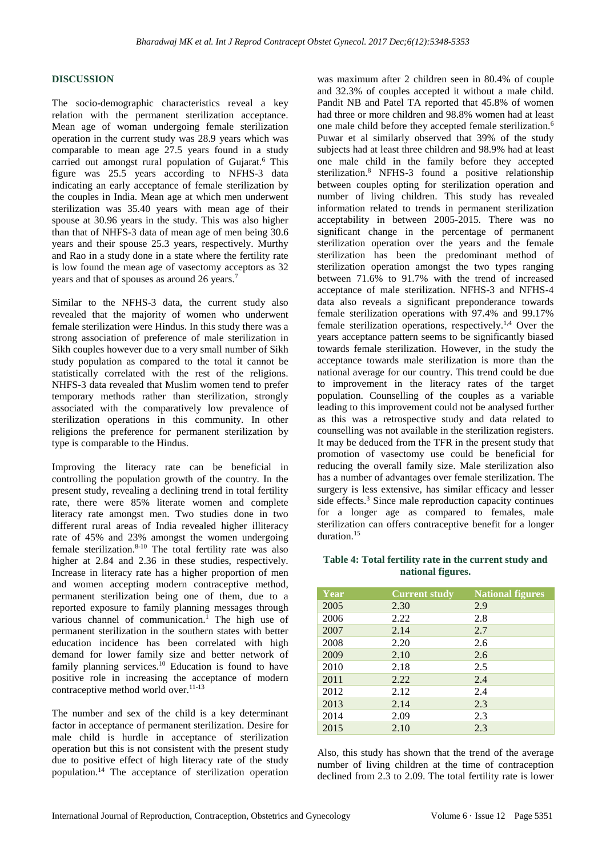#### **DISCUSSION**

The socio-demographic characteristics reveal a key relation with the permanent sterilization acceptance. Mean age of woman undergoing female sterilization operation in the current study was 28.9 years which was comparable to mean age 27.5 years found in a study carried out amongst rural population of Gujarat.<sup>6</sup> This figure was 25.5 years according to NFHS-3 data indicating an early acceptance of female sterilization by the couples in India. Mean age at which men underwent sterilization was 35.40 years with mean age of their spouse at 30.96 years in the study. This was also higher than that of NHFS-3 data of mean age of men being 30.6 years and their spouse 25.3 years, respectively. Murthy and Rao in a study done in a state where the fertility rate is low found the mean age of vasectomy acceptors as 32 years and that of spouses as around 26 years.<sup>7</sup>

Similar to the NFHS-3 data, the current study also revealed that the majority of women who underwent female sterilization were Hindus. In this study there was a strong association of preference of male sterilization in Sikh couples however due to a very small number of Sikh study population as compared to the total it cannot be statistically correlated with the rest of the religions. NHFS-3 data revealed that Muslim women tend to prefer temporary methods rather than sterilization, strongly associated with the comparatively low prevalence of sterilization operations in this community. In other religions the preference for permanent sterilization by type is comparable to the Hindus.

Improving the literacy rate can be beneficial in controlling the population growth of the country. In the present study, revealing a declining trend in total fertility rate, there were 85% literate women and complete literacy rate amongst men. Two studies done in two different rural areas of India revealed higher illiteracy rate of 45% and 23% amongst the women undergoing female sterilization. 8-10 The total fertility rate was also higher at 2.84 and 2.36 in these studies, respectively. Increase in literacy rate has a higher proportion of men and women accepting modern contraceptive method, permanent sterilization being one of them, due to a reported exposure to family planning messages through various channel of communication. <sup>1</sup> The high use of permanent sterilization in the southern states with better education incidence has been correlated with high demand for lower family size and better network of family planning services.<sup>10</sup> Education is found to have positive role in increasing the acceptance of modern contraceptive method world over.<sup>11-13</sup>

The number and sex of the child is a key determinant factor in acceptance of permanent sterilization. Desire for male child is hurdle in acceptance of sterilization operation but this is not consistent with the present study due to positive effect of high literacy rate of the study population.<sup>14</sup> The acceptance of sterilization operation was maximum after 2 children seen in 80.4% of couple and 32.3% of couples accepted it without a male child. Pandit NB and Patel TA reported that 45.8% of women had three or more children and 98.8% women had at least one male child before they accepted female sterilization.<sup>6</sup> Puwar et al similarly observed that 39% of the study subjects had at least three children and 98.9% had at least one male child in the family before they accepted sterilization.<sup>8</sup> NFHS-3 found a positive relationship between couples opting for sterilization operation and number of living children. This study has revealed information related to trends in permanent sterilization acceptability in between 2005-2015. There was no significant change in the percentage of permanent sterilization operation over the years and the female sterilization has been the predominant method of sterilization operation amongst the two types ranging between 71.6% to 91.7% with the trend of increased acceptance of male sterilization. NFHS-3 and NFHS-4 data also reveals a significant preponderance towards female sterilization operations with 97.4% and 99.17% female sterilization operations, respectively.1,4 Over the years acceptance pattern seems to be significantly biased towards female sterilization. However, in the study the acceptance towards male sterilization is more than the national average for our country. This trend could be due to improvement in the literacy rates of the target population. Counselling of the couples as a variable leading to this improvement could not be analysed further as this was a retrospective study and data related to counselling was not available in the sterilization registers. It may be deduced from the TFR in the present study that promotion of vasectomy use could be beneficial for reducing the overall family size. Male sterilization also has a number of advantages over female sterilization. The surgery is less extensive, has similar efficacy and lesser side effects. <sup>3</sup> Since male reproduction capacity continues for a longer age as compared to females, male sterilization can offers contraceptive benefit for a longer duration.<sup>15</sup>

#### **Table 4: Total fertility rate in the current study and national figures.**

| Year | <b>Current study</b> | <b>National figures</b> |
|------|----------------------|-------------------------|
| 2005 | 2.30                 | 2.9                     |
| 2006 | 2.22                 | 2.8                     |
| 2007 | 2.14                 | 2.7                     |
| 2008 | 2.20                 | 2.6                     |
| 2009 | 2.10                 | 2.6                     |
| 2010 | 2.18                 | 2.5                     |
| 2011 | 2.22                 | 2.4                     |
| 2012 | 2.12                 | 2.4                     |
| 2013 | 2.14                 | 2.3                     |
| 2014 | 2.09                 | 2.3                     |
| 2015 | 2.10                 | 2.3                     |

Also, this study has shown that the trend of the average number of living children at the time of contraception declined from 2.3 to 2.09. The total fertility rate is lower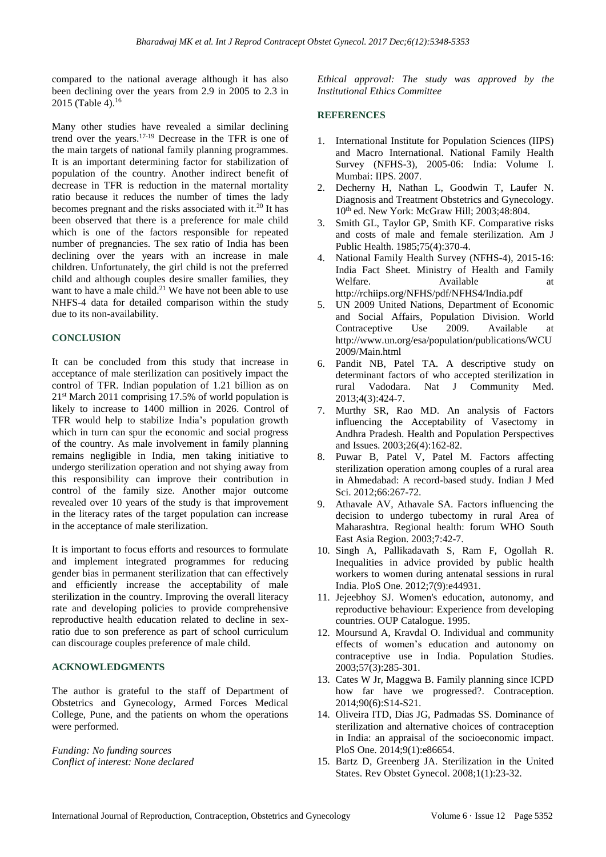compared to the national average although it has also been declining over the years from 2.9 in 2005 to 2.3 in 2015 (Table 4).<sup>16</sup>

Many other studies have revealed a similar declining trend over the years.17-19 Decrease in the TFR is one of the main targets of national family planning programmes. It is an important determining factor for stabilization of population of the country. Another indirect benefit of decrease in TFR is reduction in the maternal mortality ratio because it reduces the number of times the lady becomes pregnant and the risks associated with it.<sup>20</sup> It has been observed that there is a preference for male child which is one of the factors responsible for repeated number of pregnancies. The sex ratio of India has been declining over the years with an increase in male children. Unfortunately, the girl child is not the preferred child and although couples desire smaller families, they want to have a male child.<sup>21</sup> We have not been able to use NHFS-4 data for detailed comparison within the study due to its non-availability.

#### **CONCLUSION**

It can be concluded from this study that increase in acceptance of male sterilization can positively impact the control of TFR. Indian population of 1.21 billion as on 21st March 2011 comprising 17.5% of world population is likely to increase to 1400 million in 2026. Control of TFR would help to stabilize India's population growth which in turn can spur the economic and social progress of the country. As male involvement in family planning remains negligible in India, men taking initiative to undergo sterilization operation and not shying away from this responsibility can improve their contribution in control of the family size. Another major outcome revealed over 10 years of the study is that improvement in the literacy rates of the target population can increase in the acceptance of male sterilization.

It is important to focus efforts and resources to formulate and implement integrated programmes for reducing gender bias in permanent sterilization that can effectively and efficiently increase the acceptability of male sterilization in the country. Improving the overall literacy rate and developing policies to provide comprehensive reproductive health education related to decline in sexratio due to son preference as part of school curriculum can discourage couples preference of male child.

#### **ACKNOWLEDGMENTS**

The author is grateful to the staff of Department of Obstetrics and Gynecology, Armed Forces Medical College, Pune, and the patients on whom the operations were performed.

*Funding: No funding sources Conflict of interest: None declared* *Ethical approval: The study was approved by the Institutional Ethics Committee*

#### **REFERENCES**

- 1. International Institute for Population Sciences (IIPS) and Macro International. National Family Health Survey (NFHS-3), 2005-06: India: Volume I. Mumbai: IIPS. 2007.
- 2. Decherny H, Nathan L, Goodwin T, Laufer N. Diagnosis and Treatment Obstetrics and Gynecology. 10<sup>th</sup> ed. New York: McGraw Hill: 2003;48:804.
- 3. Smith GL, Taylor GP, Smith KF. Comparative risks and costs of male and female sterilization. Am J Public Health. 1985;75(4):370-4.
- 4. National Family Health Survey (NFHS-4), 2015-16: India Fact Sheet. Ministry of Health and Family Available at http://rchiips.org/NFHS/pdf/NFHS4/India.pdf
- 5. UN 2009 United Nations, Department of Economic and Social Affairs, Population Division. World Contraceptive Use 2009. Available at http://www.un.org/esa/population/publications/WCU 2009/Main.html
- 6. Pandit NB, Patel TA. A descriptive study on determinant factors of who accepted sterilization in rural Vadodara. Nat J Community Med. 2013;4(3):424-7.
- 7. Murthy SR, Rao MD. An analysis of Factors influencing the Acceptability of Vasectomy in Andhra Pradesh. Health and Population Perspectives and Issues. 2003;26(4):162-82.
- 8. Puwar B, Patel V, Patel M. Factors affecting sterilization operation among couples of a rural area in Ahmedabad: A record-based study. Indian J Med Sci. 2012;66:267-72.
- 9. Athavale AV, Athavale SA. Factors influencing the decision to undergo tubectomy in rural Area of Maharashtra. Regional health: forum WHO South East Asia Region. 2003;7:42-7.
- 10. Singh A, Pallikadavath S, Ram F, Ogollah R. Inequalities in advice provided by public health workers to women during antenatal sessions in rural India. PloS One. 2012;7(9):e44931.
- 11. Jejeebhoy SJ. Women's education, autonomy, and reproductive behaviour: Experience from developing countries. OUP Catalogue. 1995.
- 12. Moursund A, Kravdal O. Individual and community effects of women's education and autonomy on contraceptive use in India. Population Studies. 2003;57(3):285-301.
- 13. Cates W Jr, Maggwa B. Family planning since ICPD how far have we progressed?. Contraception. 2014;90(6):S14-S21.
- 14. Oliveira ITD, Dias JG, Padmadas SS. Dominance of sterilization and alternative choices of contraception in India: an appraisal of the socioeconomic impact. PloS One. 2014;9(1):e86654.
- 15. Bartz D, Greenberg JA. Sterilization in the United States. Rev Obstet Gynecol. 2008;1(1):23-32.